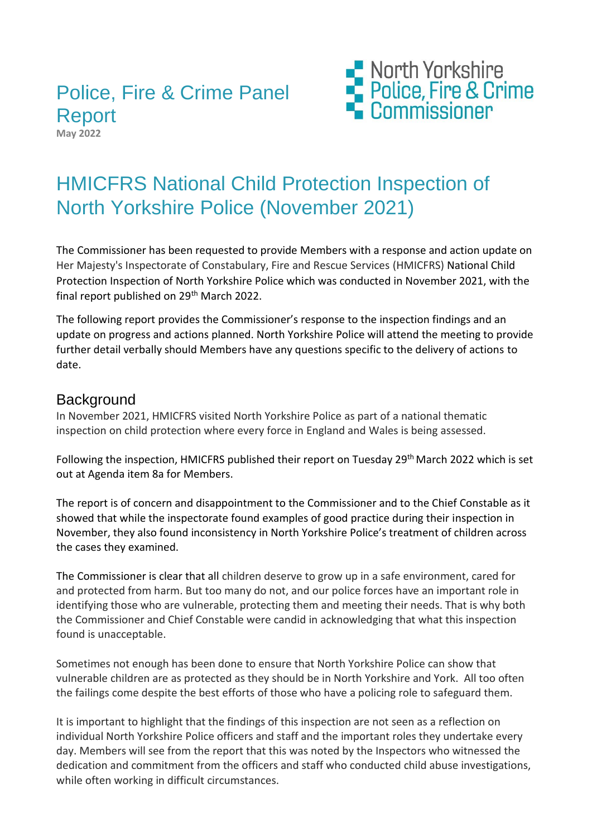# Police, Fire & Crime Panel Report

**May 2022**



# HMICFRS National Child Protection Inspection of North Yorkshire Police (November 2021)

The Commissioner has been requested to provide Members with a response and action update on Her Majesty's Inspectorate of Constabulary, Fire and Rescue Services (HMICFRS) National Child Protection Inspection of North Yorkshire Police which was conducted in November 2021, with the final report published on 29<sup>th</sup> March 2022.

The following report provides the Commissioner's response to the inspection findings and an update on progress and actions planned. North Yorkshire Police will attend the meeting to provide further detail verbally should Members have any questions specific to the delivery of actions to date.

#### **Background**

In November 2021, HMICFRS visited North Yorkshire Police as part of a national thematic inspection on child protection where every force in England and Wales is being assessed.

Following the inspection, HMICFRS published their report on Tuesday 29<sup>th</sup> March 2022 which is set out at Agenda item 8a for Members.

The report is of concern and disappointment to the Commissioner and to the Chief Constable as it showed that while the inspectorate found examples of good practice during their inspection in November, they also found inconsistency in North Yorkshire Police's treatment of children across the cases they examined.

The Commissioner is clear that all children deserve to grow up in a safe environment, cared for and protected from harm. But too many do not, and our police forces have an important role in identifying those who are vulnerable, protecting them and meeting their needs. That is why both the Commissioner and Chief Constable were candid in acknowledging that what this inspection found is unacceptable.

Sometimes not enough has been done to ensure that North Yorkshire Police can show that vulnerable children are as protected as they should be in North Yorkshire and York. All too often the failings come despite the best efforts of those who have a policing role to safeguard them.

It is important to highlight that the findings of this inspection are not seen as a reflection on individual North Yorkshire Police officers and staff and the important roles they undertake every day. Members will see from the report that this was noted by the Inspectors who witnessed the dedication and commitment from the officers and staff who conducted child abuse investigations, while often working in difficult circumstances.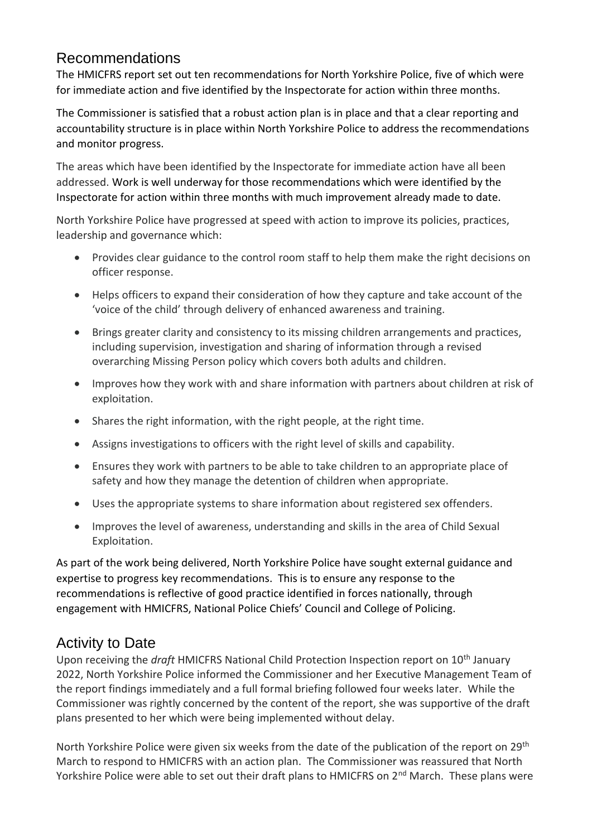### Recommendations

The HMICFRS report set out ten recommendations for North Yorkshire Police, five of which were for immediate action and five identified by the Inspectorate for action within three months.

The Commissioner is satisfied that a robust action plan is in place and that a clear reporting and accountability structure is in place within North Yorkshire Police to address the recommendations and monitor progress.

The areas which have been identified by the Inspectorate for immediate action have all been addressed. Work is well underway for those recommendations which were identified by the Inspectorate for action within three months with much improvement already made to date.

North Yorkshire Police have progressed at speed with action to improve its policies, practices, leadership and governance which:

- Provides clear guidance to the control room staff to help them make the right decisions on officer response.
- Helps officers to expand their consideration of how they capture and take account of the 'voice of the child' through delivery of enhanced awareness and training.
- Brings greater clarity and consistency to its missing children arrangements and practices, including supervision, investigation and sharing of information through a revised overarching Missing Person policy which covers both adults and children.
- Improves how they work with and share information with partners about children at risk of exploitation.
- Shares the right information, with the right people, at the right time.
- Assigns investigations to officers with the right level of skills and capability.
- Ensures they work with partners to be able to take children to an appropriate place of safety and how they manage the detention of children when appropriate.
- Uses the appropriate systems to share information about registered sex offenders.
- Improves the level of awareness, understanding and skills in the area of Child Sexual Exploitation.

As part of the work being delivered, North Yorkshire Police have sought external guidance and expertise to progress key recommendations. This is to ensure any response to the recommendations is reflective of good practice identified in forces nationally, through engagement with HMICFRS, National Police Chiefs' Council and College of Policing.

## Activity to Date

Upon receiving the *draft* HMICFRS National Child Protection Inspection report on 10th January 2022, North Yorkshire Police informed the Commissioner and her Executive Management Team of the report findings immediately and a full formal briefing followed four weeks later. While the Commissioner was rightly concerned by the content of the report, she was supportive of the draft plans presented to her which were being implemented without delay.

North Yorkshire Police were given six weeks from the date of the publication of the report on 29<sup>th</sup> March to respond to HMICFRS with an action plan. The Commissioner was reassured that North Yorkshire Police were able to set out their draft plans to HMICFRS on 2<sup>nd</sup> March. These plans were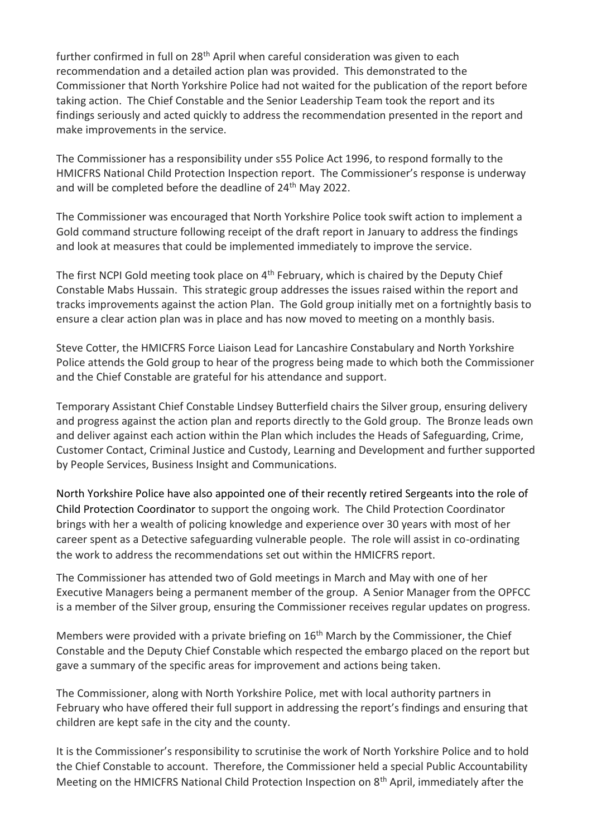further confirmed in full on  $28<sup>th</sup>$  April when careful consideration was given to each recommendation and a detailed action plan was provided. This demonstrated to the Commissioner that North Yorkshire Police had not waited for the publication of the report before taking action. The Chief Constable and the Senior Leadership Team took the report and its findings seriously and acted quickly to address the recommendation presented in the report and make improvements in the service.

The Commissioner has a responsibility under s55 Police Act 1996, to respond formally to the HMICFRS National Child Protection Inspection report. The Commissioner's response is underway and will be completed before the deadline of 24<sup>th</sup> May 2022.

The Commissioner was encouraged that North Yorkshire Police took swift action to implement a Gold command structure following receipt of the draft report in January to address the findings and look at measures that could be implemented immediately to improve the service.

The first NCPI Gold meeting took place on 4<sup>th</sup> February, which is chaired by the Deputy Chief Constable Mabs Hussain. This strategic group addresses the issues raised within the report and tracks improvements against the action Plan. The Gold group initially met on a fortnightly basis to ensure a clear action plan was in place and has now moved to meeting on a monthly basis.

Steve Cotter, the HMICFRS Force Liaison Lead for Lancashire Constabulary and North Yorkshire Police attends the Gold group to hear of the progress being made to which both the Commissioner and the Chief Constable are grateful for his attendance and support.

Temporary Assistant Chief Constable Lindsey Butterfield chairs the Silver group, ensuring delivery and progress against the action plan and reports directly to the Gold group. The Bronze leads own and deliver against each action within the Plan which includes the Heads of Safeguarding, Crime, Customer Contact, Criminal Justice and Custody, Learning and Development and further supported by People Services, Business Insight and Communications.

North Yorkshire Police have also appointed one of their recently retired Sergeants into the role of Child Protection Coordinator to support the ongoing work. The Child Protection Coordinator brings with her a wealth of policing knowledge and experience over 30 years with most of her career spent as a Detective safeguarding vulnerable people. The role will assist in co-ordinating the work to address the recommendations set out within the HMICFRS report.

The Commissioner has attended two of Gold meetings in March and May with one of her Executive Managers being a permanent member of the group. A Senior Manager from the OPFCC is a member of the Silver group, ensuring the Commissioner receives regular updates on progress.

Members were provided with a private briefing on 16<sup>th</sup> March by the Commissioner, the Chief Constable and the Deputy Chief Constable which respected the embargo placed on the report but gave a summary of the specific areas for improvement and actions being taken.

The Commissioner, along with North Yorkshire Police, met with local authority partners in February who have offered their full support in addressing the report's findings and ensuring that children are kept safe in the city and the county.

It is the Commissioner's responsibility to scrutinise the work of North Yorkshire Police and to hold the Chief Constable to account. Therefore, the Commissioner held a special Public Accountability Meeting on the HMICFRS National Child Protection Inspection on 8<sup>th</sup> April, immediately after the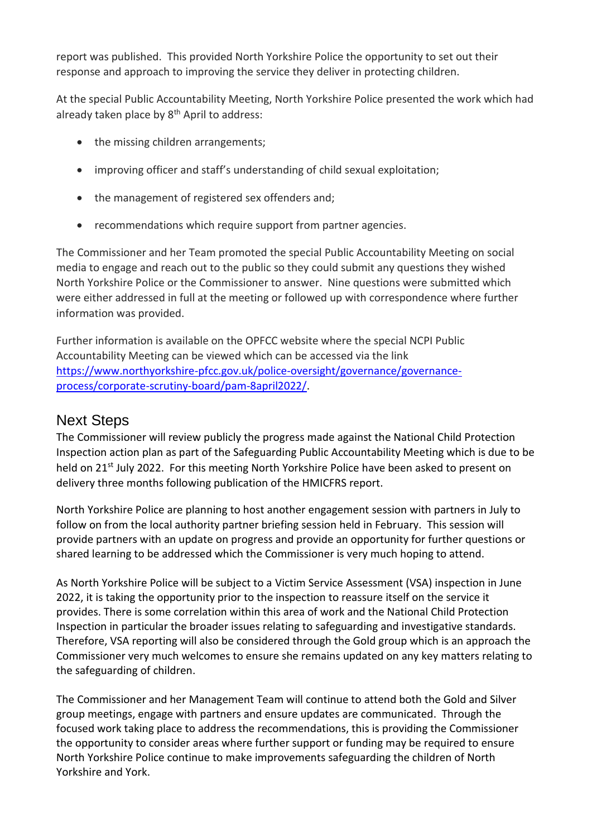report was published. This provided North Yorkshire Police the opportunity to set out their response and approach to improving the service they deliver in protecting children.

At the special Public Accountability Meeting, North Yorkshire Police presented the work which had already taken place by  $8<sup>th</sup>$  April to address:

- the missing children arrangements;
- improving officer and staff's understanding of child sexual exploitation;
- the management of registered sex offenders and;
- recommendations which require support from partner agencies.

The Commissioner and her Team promoted the special Public Accountability Meeting on social media to engage and reach out to the public so they could submit any questions they wished North Yorkshire Police or the Commissioner to answer. Nine questions were submitted which were either addressed in full at the meeting or followed up with correspondence where further information was provided.

Further information is available on the OPFCC website where the special NCPI Public Accountability Meeting can be viewed which can be accessed via the link [https://www.northyorkshire-pfcc.gov.uk/police-oversight/governance/governance](https://eur02.safelinks.protection.outlook.com/?url=https%3A%2F%2Fwww.northyorkshire-pfcc.gov.uk%2Fpolice-oversight%2Fgovernance%2Fgovernance-process%2Fcorporate-scrutiny-board%2Fpam-8april2022%2F&data=05|01|Caroline.Blackburn%40northyorkshire.police.uk|0a3cdd79aa1d4d03106e08da346b63ce|2c84bc9193af476e9721cdad67cb3ead|0|0|637879933084438883|Unknown|TWFpbGZsb3d8eyJWIjoiMC4wLjAwMDAiLCJQIjoiV2luMzIiLCJBTiI6Ik1haWwiLCJXVCI6Mn0%3D|3000|||&sdata=qoLO1BBoVHVC7mHakh3TXvNiw25%2BNWcq%2FhIVSJRDj50%3D&reserved=0)[process/corporate-scrutiny-board/pam-8april2022/.](https://eur02.safelinks.protection.outlook.com/?url=https%3A%2F%2Fwww.northyorkshire-pfcc.gov.uk%2Fpolice-oversight%2Fgovernance%2Fgovernance-process%2Fcorporate-scrutiny-board%2Fpam-8april2022%2F&data=05|01|Caroline.Blackburn%40northyorkshire.police.uk|0a3cdd79aa1d4d03106e08da346b63ce|2c84bc9193af476e9721cdad67cb3ead|0|0|637879933084438883|Unknown|TWFpbGZsb3d8eyJWIjoiMC4wLjAwMDAiLCJQIjoiV2luMzIiLCJBTiI6Ik1haWwiLCJXVCI6Mn0%3D|3000|||&sdata=qoLO1BBoVHVC7mHakh3TXvNiw25%2BNWcq%2FhIVSJRDj50%3D&reserved=0)

#### Next Steps

The Commissioner will review publicly the progress made against the National Child Protection Inspection action plan as part of the Safeguarding Public Accountability Meeting which is due to be held on 21<sup>st</sup> July 2022. For this meeting North Yorkshire Police have been asked to present on delivery three months following publication of the HMICFRS report.

North Yorkshire Police are planning to host another engagement session with partners in July to follow on from the local authority partner briefing session held in February. This session will provide partners with an update on progress and provide an opportunity for further questions or shared learning to be addressed which the Commissioner is very much hoping to attend.

As North Yorkshire Police will be subject to a Victim Service Assessment (VSA) inspection in June 2022, it is taking the opportunity prior to the inspection to reassure itself on the service it provides. There is some correlation within this area of work and the National Child Protection Inspection in particular the broader issues relating to safeguarding and investigative standards. Therefore, VSA reporting will also be considered through the Gold group which is an approach the Commissioner very much welcomes to ensure she remains updated on any key matters relating to the safeguarding of children.

The Commissioner and her Management Team will continue to attend both the Gold and Silver group meetings, engage with partners and ensure updates are communicated. Through the focused work taking place to address the recommendations, this is providing the Commissioner the opportunity to consider areas where further support or funding may be required to ensure North Yorkshire Police continue to make improvements safeguarding the children of North Yorkshire and York.